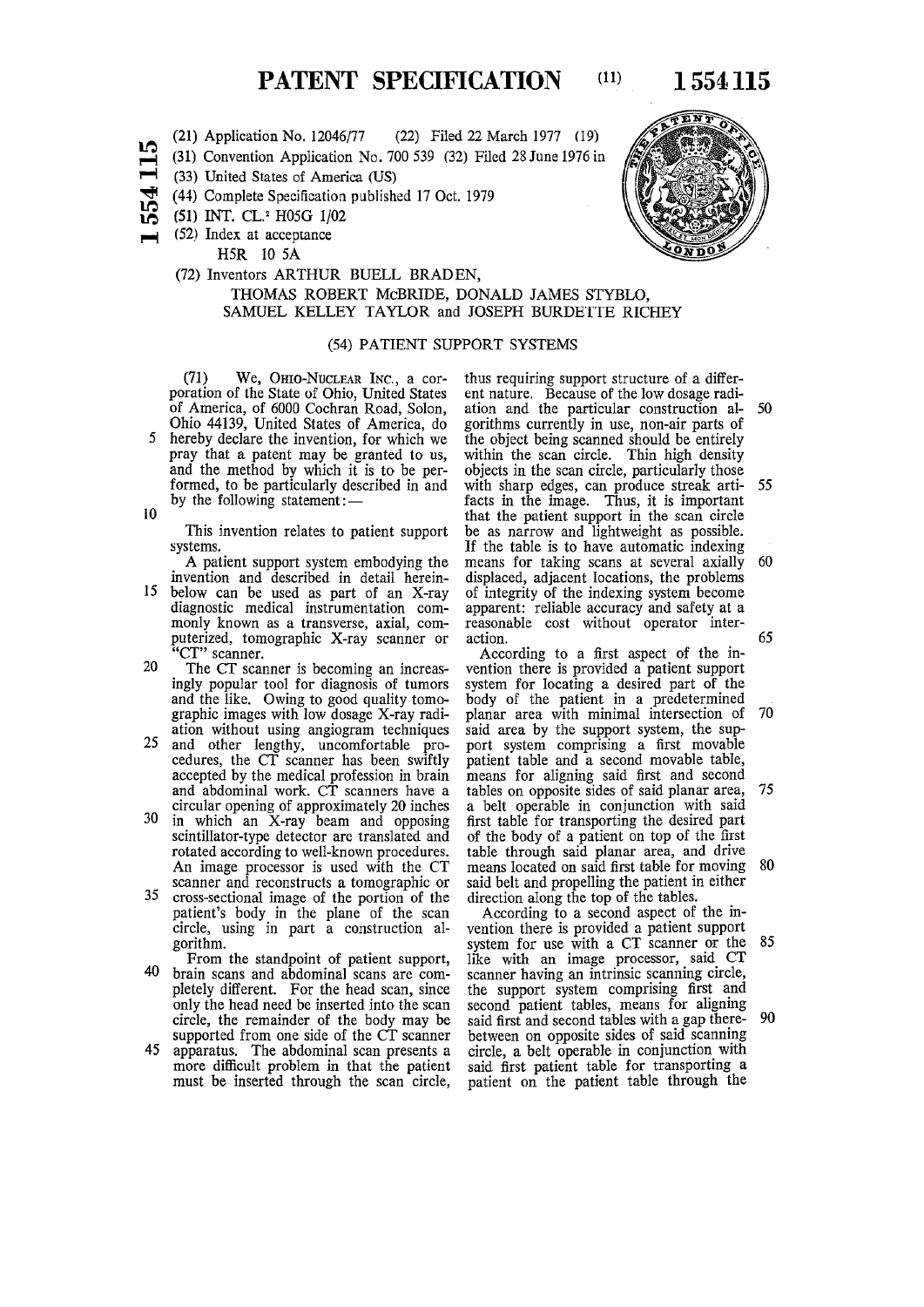PATENT SPECIFICATION (11) 1 554 115

- **(21) Application No. 12046/77 (22) Filed 22 March 1977 (19)**
- m **PH (31) Convention Application No. 700 539 (32) Filed 28 June 1976 in**
- $\blacksquare$ **(33) United States of America (US)**
- **^ (44) Complete Specification published 17 Oct. 1979**
- m i *n*  **(51) INT. CL.<sup>2</sup> H05G 1/02**
- **(52) Index at acceptance**

**HSR 10 5A** 

**by the following statement:—** 

### **(72) Inventors ARTHUR BUELL BRAD EN, THOMAS ROBERT McBRIDE, DONALD JAMES STYBLO, SAMUEL KELLEY TAYLOR and JOSEPH BURDETTE RICHEY**

### **(54) PATIENT SUPPORT SYSTEMS**

**(71 ) We , OHIO-NUCLEAR INC., a cor poration of the State of Ohio, United States of America, of 6000 Cochran Road, Solon, Ohio 44139 , United States of America, do 5 hereby declare the invention, for which we pray that a patent may be granted to us, and the method by which it is to be performed, to be particularly described in and** 

10

**This invention relates to patient support systems.** 

**A patient support system embodying the invention and described in detail herein-**

- **15 below can be used as part of an X-ray diagnostic medical instrumentation commonly known as a transverse, axial, computerized, tomographic X-ray scanner or "CT" scanner.**
- **20 The CT scanner is becoming an increasingly popular tool for diagnosis of tumors and the like. Owing to good quality tomographic images with low dosage X-ray radiation without using angiogram techniques**
- **25 and other lengthy, uncomfortable procedures, the CT scanner has been swiftly accepted by the medical profession in brain and abdominal work. CT scanners have a circular opening of approximately 20 inches**
- **30 in which an X-ray beam and opposing scintillator-type detector are translated and rotated according to well-known procedures. An image processor is used with the CT scanner and reconstructs a tomographic or**
- **35 cross-sectional image of the portion of the patient's body in the plane of the scan circle, using in part a construction algorithm.**
- **From the standpoint of patient support, 40 brain scans and abdominal scans are completely different. For the head scan, since only the head need be inserted into the scan circle, the remainder of the body may be supported from one side of the CT scanner**
- **45 apparatus. The abdominal scan presents a more difficult problem in that the patient must be inserted through the scan circle,**

**thus requiring support structure of a different nature. Because of the low dosage radiation and the particular construction al- 50 gorithms currently in use, non-air parts of the object being scanned should be entirely within the scan circle. Thin high density objects in the scan circle, particularly those with sharp edges, can produce streak arti- 55 facts in the image. Thus, it is important that the patient support in the scan circle be as narrow and lightweight as possible. If the table is to have automatic indexing means for taking scans at several axially 60 displaced, adjacent locations, the problems of integrity of the indexing system become apparent: reliable accuracy and safety at a reasonable cost without operator inter**action. **.** 65 *ANDER COL COLL COLL COLL COLL COLL COLL***</del> <b>***COLL COLL COLL***</del>** 

**According to a first aspect of the invention there is provided a patient support system for locating a desired part of the body of the patient in a predetermined planar area with minimal intersection of 70 said area by the support system, the support system comprising a first movable patient table and a second movable table, means for aligning said first and second tables on opposite sides of said planar area, 75 a belt operable in conjunction with said first table for transporting the desired part of the body of a patient on top of the first table through said planar area, and drive means located on said first table for moving 80 said belt and propelling the patient in either direction along the top of the tables.** 

**According to a second aspect of the invention there is provided a patient support system for use with a CT scanner or the 85 like with an image processor, said CT scanner having an intrinsic scanning circle, the support system comprising first and second patient tables, means for aligning said first and second tables with a gap there- 90 between on opposite sides of said scanning circle, a belt operable in conjunction with said first patient table for transporting a patient on the patient table through the** 

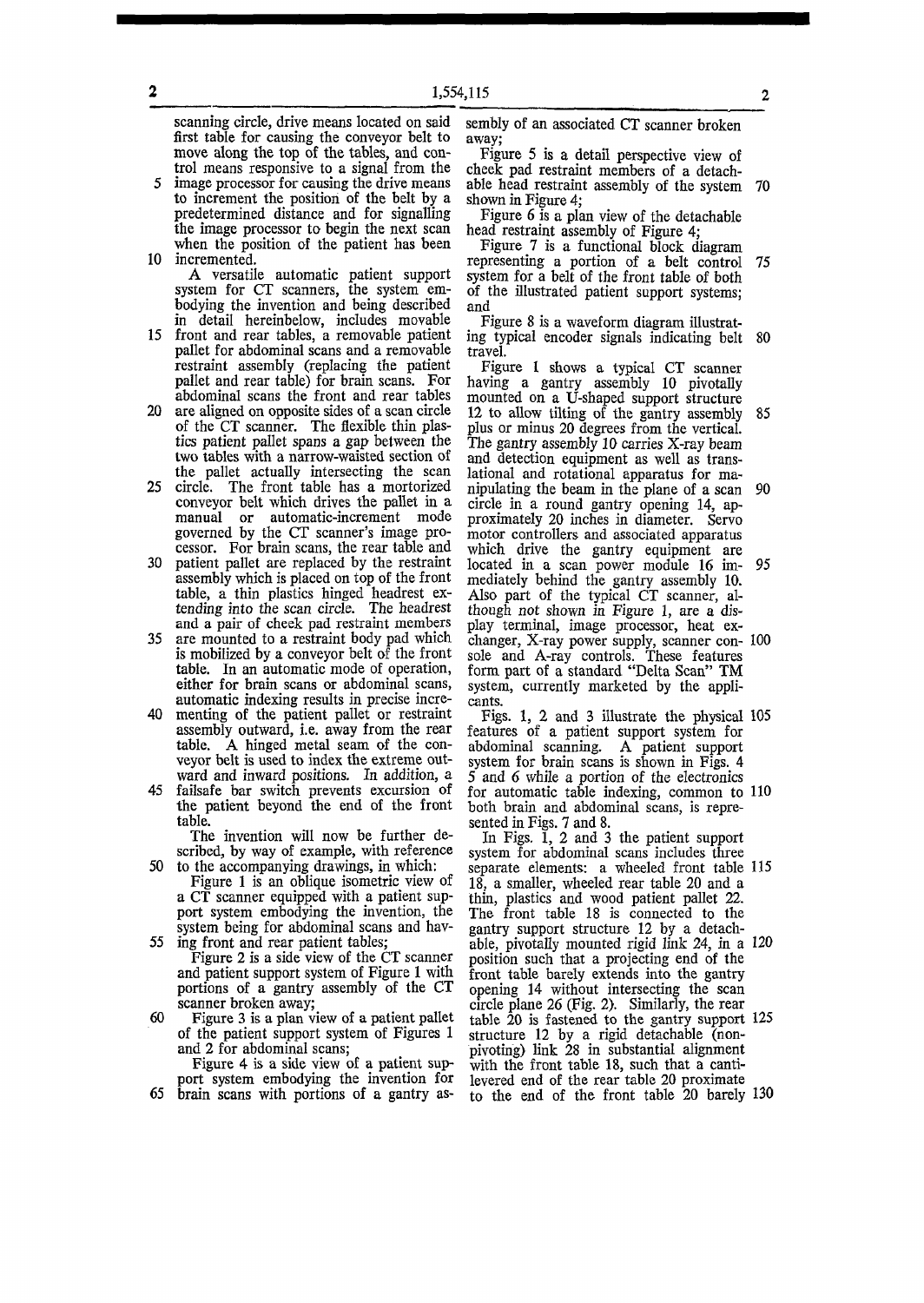**scanning circle, drive means located on said first table for causing the conveyor belt to move along the top of the tables, and control means responsive to a signal from the** 

**5 image processor for causing the drive means to increment the position of the belt by a predetermined distance and for signalling the image processor to begin the next scan when the position of the patient has been 10 incremented.** 

**A versatile automatic patient support system for CT scanners, the system embodying the invention and being described in detail hereinbelow, includes movable** 

- **15 front and rear tables, a removable patient pallet for abdominal scans and a removable restraint assembly (replacing the patient pallet and rear table) for brain scans. For abdominal scans the front and rear tables**
- **20 are aligned on opposite sides of a scan circle of the CT scanner. The flexible thin plastics patient pallet spans a gap between the two tables with a narrow-waisted section of the pallet actually intersecting the scan**
- **25 circle. The front table has a mortorized conveyor belt which drives the pallet in a manual or automatic-increment mode governed by the CT scanner's image processor. For brain scans, the rear table and**
- 30 patient pallet are replaced by the restraint **assembly which is placed on top of the front table, a thin plastics hinged headrest extending into the scan circle. The headrest and a pair of cheek pad restraint members**
- **35 are mounted to a restraint body pad which is mobilized by a conveyor belt of the front table. In an automatic mode of operation, either for brain scans or abdominal scans,**  either for brain scans or abdominal scans, automatic indexing results in precise incre-
- 40 menting of the patient pallet or restraint assembly outward, i.e. away from the rear table. A hinged metal seam of the conveyor belt is used to index the extreme out-**45 failsafe bar switch prevents excursion of**
- **the fallsafe** bar switch prevents excursion of the p

**The invention will now be further described, by way of example, with reference 50 to the accompanying drawings, in which:** 

**Figure 1 is an oblique isometric view of a CT scanner equipped with a patient support system embodying the invention, the system being for abdominal scans and hav-**

**55 ing front and rear patient tables; Figure 2 is a side view of the CT scanner** 

**and patient support system of Figure 1 with portions of a gantry assembly of the CT scanner broken away;** 

**60 Figure 3 is a plan view of a patient pallet of the patient support system of Figures 1 and 2 for abdominal scans;** 

**Figure 4 is a side view of a patient support system embodying the invention for 65 brain scans with portions of a gantry as-**

**sembly of an associated CT scanner broken away;** 

**Figure 5 is a detail perspective view of cheek pad restraint members of a detach**able head restraint assembly of the system **shown in Figure 4;** 

**Figure 6 is a plan view of the detachable**  head restraint assembly of Figure 4

**Figure 7 is a functional block diagram representing a portion of a belt control 75 system for a belt of the front table of both of the illustrated patient support systems; and** 

**Figure 8 is a waveform diagram illustrating typical encoder signals indicating belt 80 travel.** 

**Figure 1 shows a typical CT scanner having a gantry assembly 10 pivotally mounted on a U-shaped support structure 12 to allow tilting of the gantry assembly 85 plus or minus 20 degrees from the vertical. The gantry assembly 10 carries X-ray beam and detection equipment as well as translational and rotational apparatus for manipulating the beam in the plane of a scan 90 circle in a round gantry opening 14, approximately 20 inches in diameter. Servo motor controllers and associated apparatus which drive the gantry equipment are located in a scan power module 16 im- 95 mediately behind the gantry assembly 10. Also part of the typical CT scanner, although** *not* **shown in Figure 1, are a dis**play terminal, image processor, heat ex**changer, X-ray power supply, scanner con- 100 sole and A-ray controls. These features form part of a standard "Delta Scan" TM system, currently marketed by the applicants.** 

**Figs. 1, 2 and 3 illustrate the physical 105 features of a patient support system for abdominal scanning. A patient support system for brain scans is shown in Figs. 4 5 and** *6* **while a portion of the electronics for automatic table indexing, common to 110 both brain and abdominal scans, is represented in Figs. 7 and 8.** 

**In Figs. 1, 2 and 3 the patient support system for abdominal scans includes three separate elements: a wheeled front table 115 18, a smaller, wheeled rear table 20 and a thin, plastics and wood patient pallet 22. The front table 18 is connected to the gantry support structure 12 by a detachable, pivotally mounted rigid link 24, in a 120 position such that a projecting end of the front table barely extends into the gantry opening 14 without intersecting the scan circle plane 26 (Fig. 2). Similarly, the rear table 20 is fastened to the gantry support 125 structure 12 by a rigid detachable (nonpivoting) link 28 in substantial alignment**  with the front table 18, such that a canti**levered end of the rear table 20 proximate to the end of the front table 20 barely 130**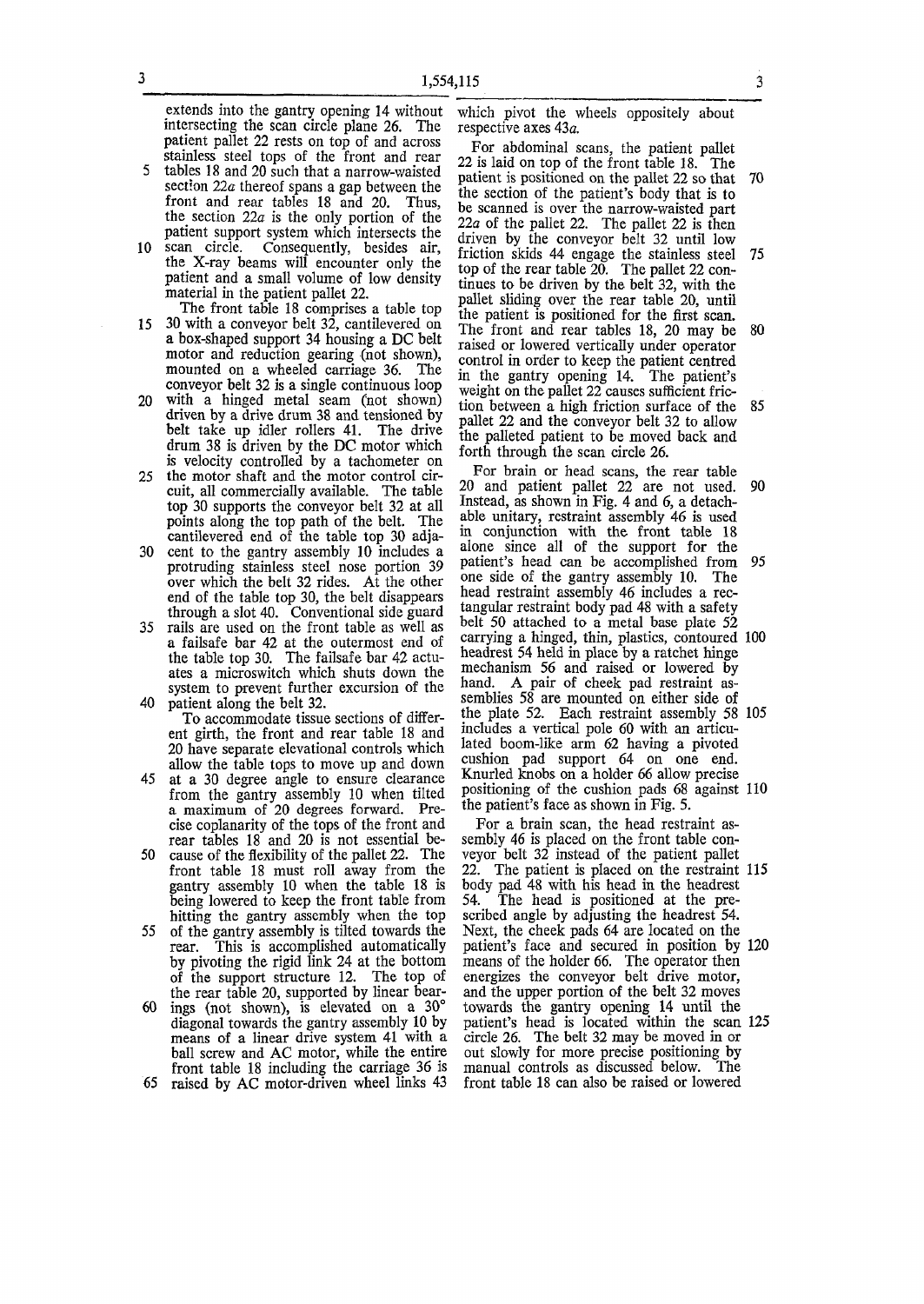**extends into the gantry opening 14 without intersecting the scan circle plane 26. The patient pallet 22 rests on top of and across stainless steel tops of the front and rear** 

- **5 tables 18 and 20 such that a narrow-waisted section 22a thereof spans a gap between the front and rear tables 18 and 20. Thus,**  the section  $22a$  is the only portion of the **patient support system which intersects the**
- **10 scan circle. Consequently, besides air, the X-ray beams will encounter only the patient and a small volume of low density material in the patient pallet 22. The front table 18 comprises a table top**
- **15 30 with a conveyor belt 32, cantilevered on a box-shaped support 34 housing a DC belt motor and reduction gearing (not shown), mounted on a wheeled carriage 36. The conveyor belt 32 is a single continuous loop**
- **20 with a hinged metal seam (not shown) driven by a drive drum 38 and tensioned by belt take up idler rollers 41. The drive drum 38 is driven by the DC motor which is velocity controlled by a tachometer on 25 the motor shaft and the motor control cir-**
- **cuit, all commercially available. The table top 30 supports the conveyor belt 32 at all points along the top path of the belt. The cantilevered end of the table top 30 adja-**
- **30 cent to the gantry assembly 10 includes a protruding stainless steel nose portion 39 over which the belt 32 rides. At the other end of the table top 30, the belt disappears through a slot 40. Conventional side guard**
- **35 rails are used on the front table as well as a failsafe bar 42 at the outermost end of the table top 30. The failsafe bar 42 actuates a microswitch which shuts down the system to prevent further excursion of the 40 patient along the belt 32.** 
	- **To accommodate tissue sections of different girth, the front and rear table 18 and 20 have separate elevational controls which allow the table tops to move up and down**
- **45 at a 30 degree angle to ensure clearance from the gantry assembly 10 when tilted a maximum of 20 degrees forward. Precise coplanarity of the tops of the front and rear tables 18 and 20 is not essential be-**
- **50 cause of the flexibility of the pallet 22. The front table 18 must roll away from the gantry assembly 10 when the table 18 is being lowered to keep the front table from hitting the gantry assembly when the top 55 of the gantry assembly is tilted towards the**
- **rear. This is accomplished automatically by pivoting the rigid link 24 at the bottom of the support structure 12. The top of the rear table 20, supported by linear bear-**
- **60 ings (not shown), is elevated on a 30° diagonal towards the gantry assembly 10 by means of a linear drive system 41 with a ball screw and AC motor, while the entire front table 18 including the carriage 36 is**
- **65 raised by AC motor-driven wheel links 43**

**which pivot the wheels oppositely about respective axes 43a.** 

**For abdominal scans, the patient pallet 22 is laid on top of the front table 18. The patient is positioned on the pallet 22 so that 70 the section of the patient's body that is to be scanned is over the narrow-waisted part 22a of the pallet 22. The pallet 22 is then driven by the conveyor belt 32 until low friction skids 44 engage the stainless steel 75 top of the rear table 20. The pallet 22 continues to be driven by the belt 32, with the pallet sliding over the rear table 20, until the patient is positioned for the first scan. The front and rear tables 18, 20 may be 80 raised or lowered vertically under operator control in order to keep the patient centred in the gantry opening 14. The patient's weight on the pallet 22 causes sufficient friction between a high friction surface of the 85 pallet 22 and the conveyor belt 32 to allow the palleted patient to be moved back and forth through the scan circle 26.** 

**For brain or head scans, the rear table 20 and patient pallet 22 are not used. 90 Instead, as shown in Fig. 4 and 6, a detachable unitary, restraint assembly 46 is used in conjunction with the front table 18 alone since all of the support for the patient's head can be accomplished from 95 one side of the gantry assembly 10. The head restraint assembly 46 includes a rectangular restraint body pad 48 with a safety belt 50 attached to a metal base plate 52 carrying a hinged, thin, plastics, contoured 100 headrest 54 held in place by a ratchet hinge mechanism 56 and raised or lowered by hand. A pair of cheek pad restraint assemblies 58 are mounted on either side of the plate 52. Each restraint assembly 58 105 includes a vertical pole 60 with an articulated boom-like arm 62 having a pivoted cushion pad support 64 on one end. Knurled knobs on a holder 66 allow precise positioning of the cushion pads 68 against 110 the patient's face as shown in Fig. 5.** 

**For a brain scan, the head restraint assembly 46 is placed on the front table conveyor belt 32 instead of the patient pallet 22. The patient is placed on the restraint 115 body pad 48 with his head in the headrest 54. The head is positioned at the prescribed angle by adjusting the headrest 54. Next, the cheek pads 64 are located on the patient's face and secured in position by 120 means of the holder 66. The operator then energizes the conveyor belt drive motor, and the upper portion of the belt 32 moves towards the gantry opening 14 until the patient's head is located within the scan 125 circle 26. The belt 32 may be moved in or out slowly for more precise positioning by manual controls as discussed below. The front table 18 can also be raised or lowered**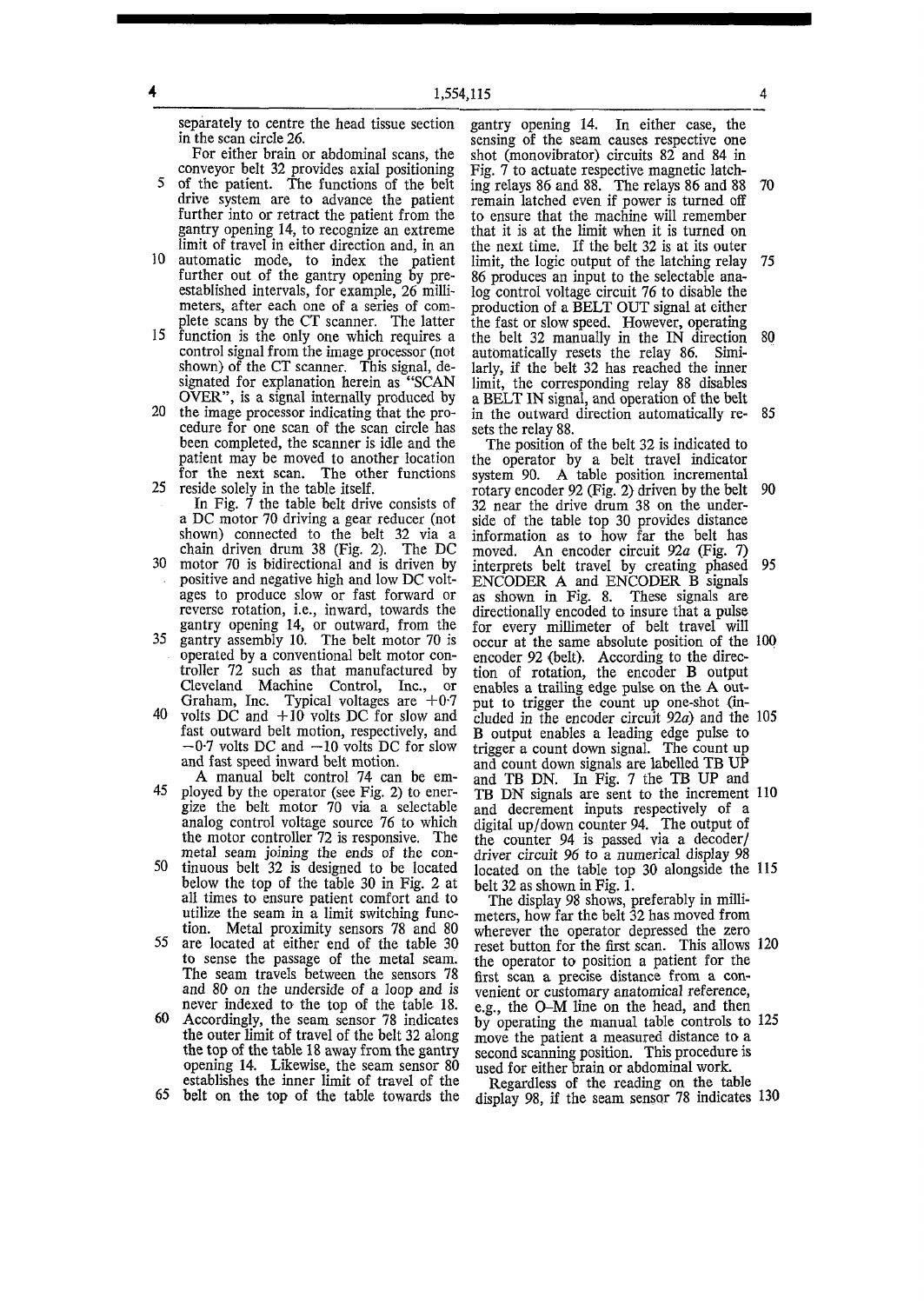**separately to centre the head tissue section in the scan circle 26.** 

**2** 

- **For either brain or abdominal scans, the conveyor belt 32 provides axial positioning 5 of the patient. The functions of the belt drive system are to advance the patient**  further into or retract the patient from the **gantry opening 14, to recognize an extreme limit of travel in either direction and, in an**
- **10 automatic mode, to index the patient further out of the gantry opening by preestablished intervals, for example, 26 millimeters, after each one of a series of complete scans by the CT scanner. The latter**
- **15 function is the only one which requires a control signal from the image processor (not shown) of the CT scanner. This signal, designated for explanation herein as "SCAN OVER", is a signal internally produced by**
- **20 the image processor indicating that the procedure for one scan of the scan circle has been completed, the scanner is idle and the patient may be moved to another location for the next scan. The other functions 25 reside solely in the table itself.**
- **In Fig. 7 the table belt drive consists of a DC motor 70 driving a gear reducer (not shown) connected to the belt 32 via a chain driven drum 38 (Fig. 2). The DC**
- **30 motor 70 is bidirectional and is driven by positive and negative high and low DC voltages to produce slow or fast forward or reverse rotation, i.e., inward, towards the gantry opening 14, or outward, from the**
- **35 gantry assembly 10. The belt motor 70 is operated by a conventional belt motor controller 72 such as that manufactured by Cleveland Machine Control, Inc., or**  Graham, Inc. Typical voltages are +0.7
- **40 volts DC and +1 0 volts DC for slow and fast outward belt motion, respectively, and -0- 7 volts DC and —10 volts DC for slow and fast speed inward belt motion.**
- **A manual belt control 74 can be em-45 ployed by the operator (see Fig. 2) to energize the belt motor 70 via a selectable analog control voltage source 76 to which the motor controller 72 is responsive. The metal seam joining the ends of the con-**
- **50 tinuous belt 32 is designed to be located below the top of the table 30 in Fig. 2 at all times to ensure patient comfort and to utilize the seam in a limit switching function. Metal proximity sensors 78 and 80**
- **55 are located at either end of the table 30 to sense the passage of the metal seam. The seam travels between the sensors 78 and 80 on the underside of a loop and is never indexed to the top of the table 18.**
- **60 Accordingly, the seam sensor 78 indicates the outer limit of travel of the belt 32 along the top of the table 18 away from the gantry opening 14. Likewise, the seam sensor 80 establishes the inner limit of travel of the**

**65 belt on the top of the table towards the** 

**gantry opening 14. In either case, the sensing of the seam causes respective one shot (monovibrator) circuits 82 and 84 in Fig. 7 to actuate respective magnetic latching relays 86 and 88. The relays 86 and 88 70 remain latched even if power is turned off to ensure that the machine will remember that it is at the limit when it is turned on the next time. If the belt 32 is at its outer limit, the logic output of the latching relay 75 86 produces an input to the selectable analog control voltage circuit 76 to disable the production of a BELT OUT signal at either the fast or slow speed. However, operating the belt 32 manually in the IN direction 80 automatically resets the relay 86. Similarly, if the belt 32 has reached the inner limit, the corresponding relay 88 disables a BELT IN signal, and operation of the belt in the outward direction automatically re- 85 sets the relay 88.** 

**The position of the belt 32 is indicated to the operator by a belt travel indicator system 90. A table position incremental rotary encoder 92 (Fig. 2) driven by the belt 90 32 near the drive drum 38 on the underside of the table top 30 provides distance information as to how far the belt has moved. An encoder circuit 92a (Fig. 7) interprets belt travel by creating phased 95 ENCODER A and ENCODER B signals as shown in Fig. 8. These signals are directionally encoded to insure that a pulse for every millimeter of belt travel will occur at the same absolute position of the 100 encoder 92 (belt). According to the direction of rotation, the encoder B output enables a trailing edge pulse on the A output to trigger the count up one-shot (included in the encoder circuit 92a) and the 105 B output enables a leading edge pulse to trigger a count down signal. The count up and count down signals are labelled TB UP and TB DN. In Fig. 7 the TB UP and TB DN signals are sent to the increment 110 and decrement inputs respectively of a digital up/down counter 94. The output of the counter 94 is passed via a decoder/ driver circuit** *96* **to a numerical display 98 located on the table top 30 alongside the 115**  located on the table top 30 alongside the 115 belt 32 as shown in Fig. 1.

**The display 98 shows, preferably in millimeters, how far the belt 32 has moved from wherever the operator depressed the zero reset button for the first scan. This allows 120 the operator to position a patient for the first scan a precise distance from a convenient or customary anatomical reference, e.g., the O-M line on the head, and then by operating the manual table controls to 125 move the patient a measured distance to a second scanning position. This procedure is used for either brain or abdominal work.** 

**Regardless of the reading on the table display 98, if the seam sensor 78 indicates 130** 

**2**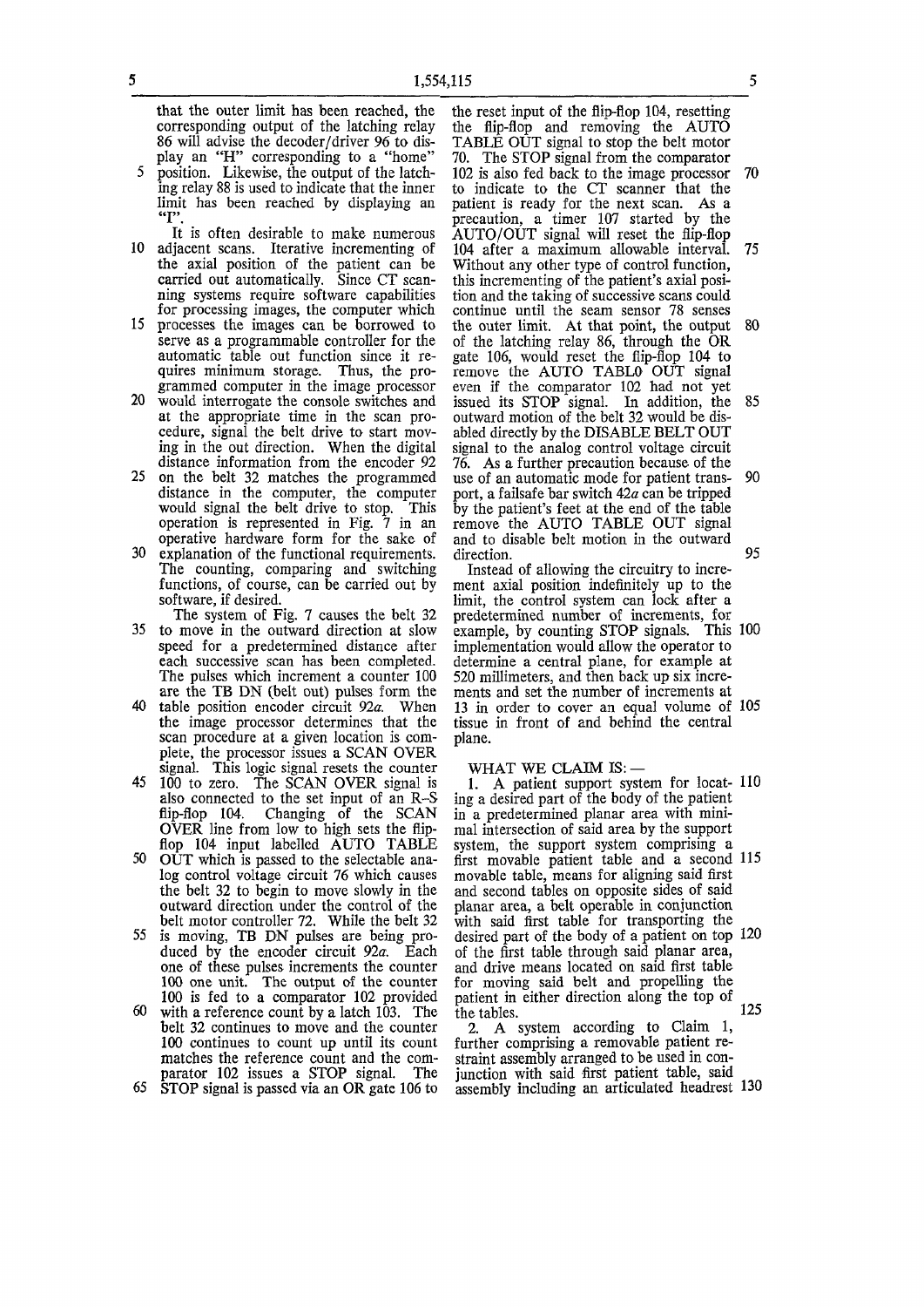**that the outer limit has been reached, the corresponding output of the latching relay 86 will advise the decoder/driver 96 to display an "H" corresponding to a "home"** 

- **5 position. Likewise, the output of the latching relay 88 is used to indicate that the inner limit has been reached by displaying an**
- **It is often desirable to make numerous 10 adjacent scans. Iterative incrementing of the axial position of the patient can be carried out automatically. Since CT scanning systems require software capabilities for processing images, the computer which**
- **15 processes the images can be borrowed to serve as a programmable controller for the automatic table out function since it requires minimum storage. Thus, the programmed computer in the image processor**
- **20 would interrogate the console switches and at the appropriate time in the scan procedure, signal the belt drive to start moving in the out direction. When the digital distance information from the encoder 92**
- **25 on the belt 32 matches the programmed distance in the computer, the computer would signal the belt drive to stop. This operation is represented in Fig. 7 in an operative hardware form for the sake of**
- **30 explanation of the functional requirements. The counting, comparing and switching functions, of course, can be carried out by software, if desired.**

**The system of Fig. 7 causes the belt 32 35 to move in the outward direction at slow speed for a predetermined distance after each successive scan has been completed. The pulses which increment a counter 100 are the TB DN (belt out) pulses form the** 

- table position encoder circuit 92a. When **the image processor determines that the scan procedure at a given location is complete, the processor issues a SCAN OVER signal. This logic signal resets the counter**
- **45 100 to zero. The SCAN OVER signal is also connected to the set input of an R-S flip-flop 104. Changing of the SCAN OVER line from low to high sets the flipflop 104 input labelled AUTO TABLE**
- **50 OUT which is passed to the selectable analog control voltage circuit 76 which causes the belt 32 to begin to move slowly in the outward direction under the control of the belt motor controller 72. While the belt 32 55** is moving. TB DN pulses are being pro-
- **duced by the encoder circuit 92c. Each**  duced by the encoder circuit 92*a*. Each one of these pulses increments the counter **100 one unit. The output of the counter 100 is fed to a comparator 102 provided 60 with a reference count by a latch 103. The**
- with a reference count by a latch 103. The belt 32 continues to move and the counter 100 continues to count up until its count matches the reference count and the comparator **i** uz issues a SIOP signal. Ine

**the reset input of the flip-flop 104, resetting the flip-flop and removing the AUTO TABLE OUT signal to stop the belt motor 70. The STOP signal from the comparator 102 is also fed back to the image processor 70 to indicate to the CT scanner that the patient is ready for the next scan. As a precaution, a timer 107 started by the AUTO/OUT signal will reset the flip-flop 104 after a maximum allowable interval. 75 Without any other type of control function, this incrementing of the patient's axial position and the taking of successive scans could continue until the seam sensor 78 senses the outer limit. At that point, the output 80 of the latching relay 86, through the OR gate 106, would reset the flip-flop 104 to remove the AUTO TABLO OUT signal even if the comparator 102 had not yet issued its STOP signal. In addition, the 85 outward motion of the belt 32 would be disabled directly by the DISABLE BELT OUT signal to the analog control voltage circuit 76. As a further precaution because of the use of an automatic mode for patient trans- 90 port, a failsafe bar switch 42a can be tripped by the patient's feet at the end of the table remove the AUTO TABLE OUT signal and to disable belt motion in the outward**  direction. 95

**Instead of allowing the circuitry to increment axial position indefinitely up to the limit, the control system can lock after a predetermined number of increments, for example, by counting STOP signals. This 100 implementation would allow the operator to determine a central plane, for example at 520 millimeters, and then back up six increments and set the number of increments at 13 in order to cover an equal volume of 105 tissue in front of and behind the central plane.** 

#### **WHAT WE CLAIM IS:**

**1. A patient support system for locat- 110 ing a desired part of the body of the patient in a predetermined planar area with minimal intersection of said area by the support system, the support system comprising a first movable patient table and a second 115 movable table, means for aligning said first and second tables on opposite sides of said planar area, a belt operable in conjunction with said first table for transporting the desired part of the body of a patient on top 120 of the first table through said planar area, and drive means located on said first table for moving said belt and propelling the patient in either direction along the top of**  the tables. 125

**2. A system according to Claim 1, further comprising a removable patient restraint assembly arranged to be used in conjunction with said first patient table, said assembly including an articulated headrest 130**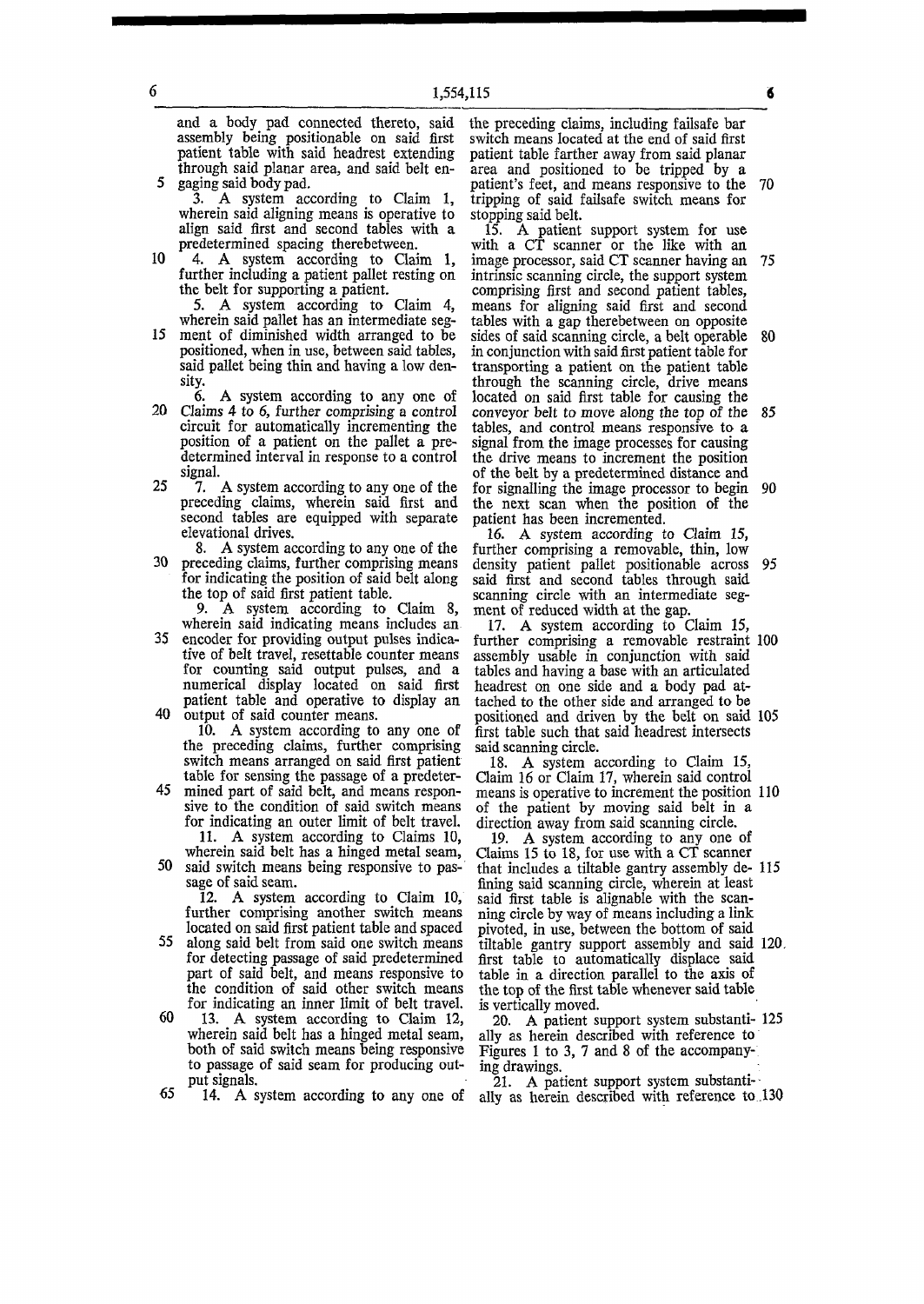**and a body pad connected thereto, said assembly being positionable on said first patient table with said headrest extending through said planar area, and said belt en-5 gaging said body pad.** 

6

**3. A system according to Claim 1, wherein said aligning means is operative to align said first and second tables with a predetermined spacing therebetween.** 

10 4. A system according to Claim 1, **further including a patient pallet resting on the belt for supporting a patient.** 

5. A system according to Claim 4, **wherein said pallet has an intermediate seg-**

15 ment of diminished width arranged to be **positioned, when in use, between said tables, said pallet being thin and having a low density.** 

**6.** A system according to any one of **20 Claims 4 to 6, further comprising a control circuit for automatically incrementing the position of a patient on the pallet a predetermined interval in response to a control signal.** 

- **25 7. A system according to any one of the preceding claims, wherein said first and second tables are equipped with separate elevational drives.**
- **8. A system according to any one of the 30 preceding claims, further comprising means for indicating the position of said belt along the top of said first patient table.**

9. A system according to Claim 8, **wherein said indicating means includes an** 

**35 encoder for providing output pulses indicative of belt travel, resettable counter means for counting said output pulses, and a numerical display located on said first patient table and operative to display an 40 output of said counter means.** 

**10. A system according to any one of the preceding claims, further comprising switch means arranged on said first patient table for sensing the passage of a predeter-**

**45 mined part of said belt, and means responsive to the condition of said switch means for indicating an outer limit of belt travel. 11. A system according to Claims 10,** 

**wherein said belt has a hinged metal seam, 50 said switch means being responsive to passage of said seam.** 

**12. A system according to Claim 10, further comprising another switch means located on said first patient table and spaced** 

- **55 along said belt from said one switch means for detecting passage of said predetermined part of said belt, and means responsive to the condition of said other switch means for indicating an inner limit of belt travel.**
- **60** 13. A system according to Claim 12, **wherein said belt has a hinged metal seam, both of said switch means being responsive to passage of said seam for producing output signals.**

**65** 14. A system according to any one of

**the preceding claims, including failsafe bar switch means located at the end of said first patient table farther away from said planar area and positioned to be tripped by a patient's feet, and means responsive to the 70 tripping of said failsafe switch means for stopping said belt.** 

**15. A patient support system for use**  with a CT scanner or the like with an **image processor, said CT scanner having an 75 intrinsic scanning circle, the support system comprising first and second patient tables, means for aligning said first and second tables with a gap therebetween on opposite sides of said scanning circle, a belt operable 80 in conjunction with said first patient table for transporting a patient on the patient table through the scanning circle, drive means located on said first table for causing the conveyor belt to move along the top of the 85**  tables, and control means responsive to a **signal from the image processes for causing the drive means to increment the position of the belt by a predetermined distance and for signalling the image processor to begin 90 the next scan when the position of the patient has been incremented.** 

**16. A system according to Claim 15, further comprising a removable, thin, low density patient pallet positionable across 95 said first and second tables through said scanning circle with an intermediate segment of reduced width at the gap.** 

**17. A system according to Claim 15, further comprising a removable restraint 100 assembly usable in conjunction with said tables and having a base with an articulated headrest on one side and a body pad at**tached to the other side and arranged to be **positioned and driven by the belt on said 105 first table such that said headrest intersects said scanning circle.** 

**18. A system according to Claim 15, Claim 16 or Claim 17, wherein said control means is operative to increment the position 110 of the patient by moving said belt in a direction away from said scanning circle.** 

**19. A system according to any one of Claims 15 to 18, for use with a CT scanner that includes a tiltable gantry assembly de- 115 fining said scanning circle, wherein at least said first table is alignable with the scanning circle by way of means including a link pivoted, in use, between the bottom of said tiltable gantry support assembly and said 120. first table to automatically displace said table in a direction parallel to the axis of the top of the first table whenever said table is vertically moved.** 

**20. A patient support system substanti- 125 ally as herein described with reference to Figures 1 to 3, 7 and 8 of the accompanying drawings.** 

**21. A patient support system substantially as herein described with reference to .130** 

2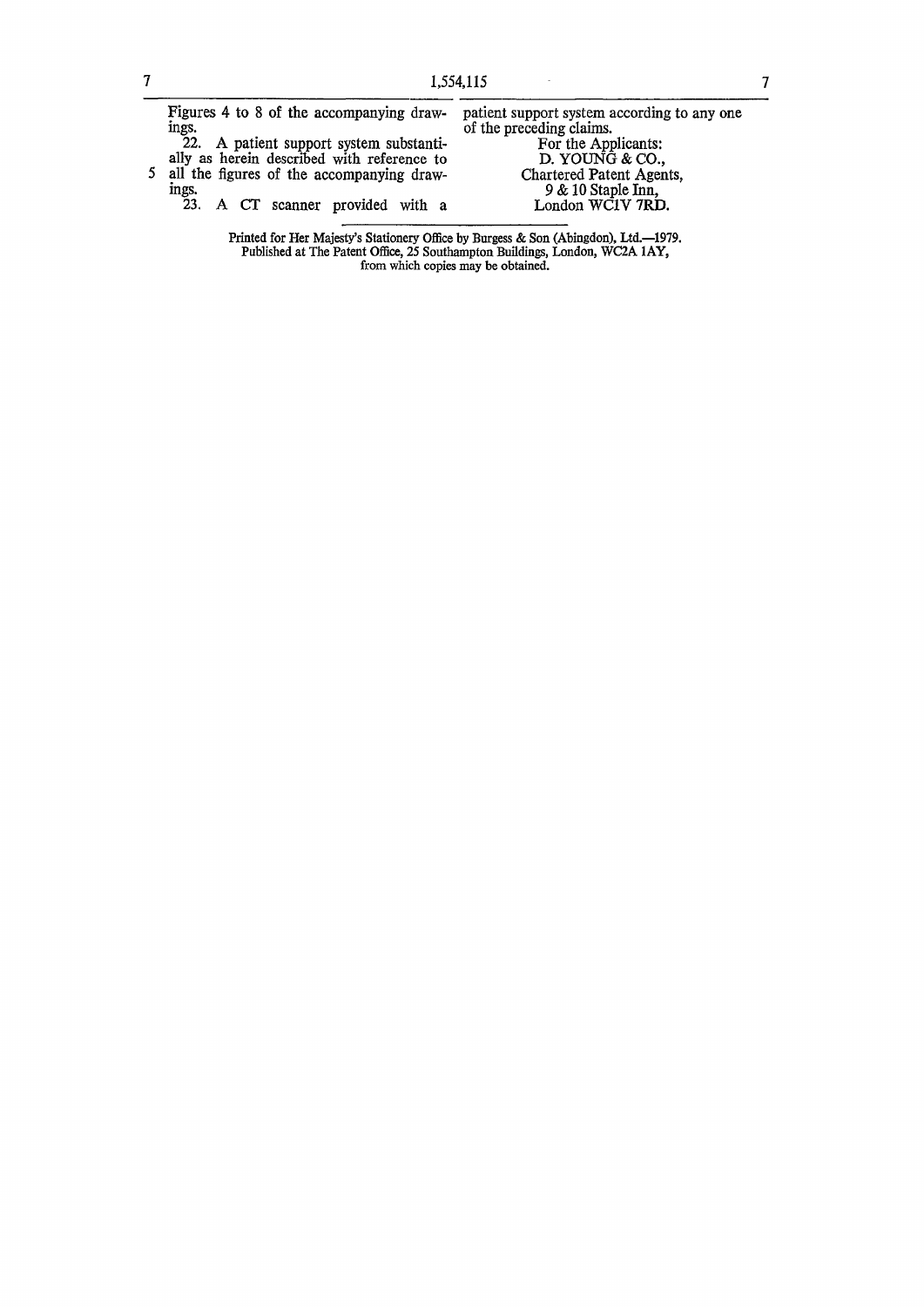$\sim$ 

|  | Figures 4 to 8 of the accompanying draw-                                             | patient support system according to any one |
|--|--------------------------------------------------------------------------------------|---------------------------------------------|
|  | mgs.                                                                                 | of the preceding claims.                    |
|  | 22. A patient support system substanti-                                              | For the Applicants:                         |
|  | ally as herein described with reference to                                           | D. YOUNG $&$ CO.,                           |
|  | 5 all the figures of the accompanying draw-                                          | Chartered Patent Agents,                    |
|  | ings.                                                                                | $9 & 10$ Staple Inn,                        |
|  | 23. A CT scanner provided with a                                                     | London WCIV 7RD.                            |
|  |                                                                                      |                                             |
|  | Duinted fou Uan Meigetric Ctationaux Office by Dispease, & Can (Abinadan), Itd. 1070 |                                             |

**Printed for Her Majesty's Stationery Office by Burgess & Son (Abingdon), Ltd.—1979. Published at The Patent Office, 25 Southampton Buildings, London, WC2A 1AY, from which copies may be obtained.**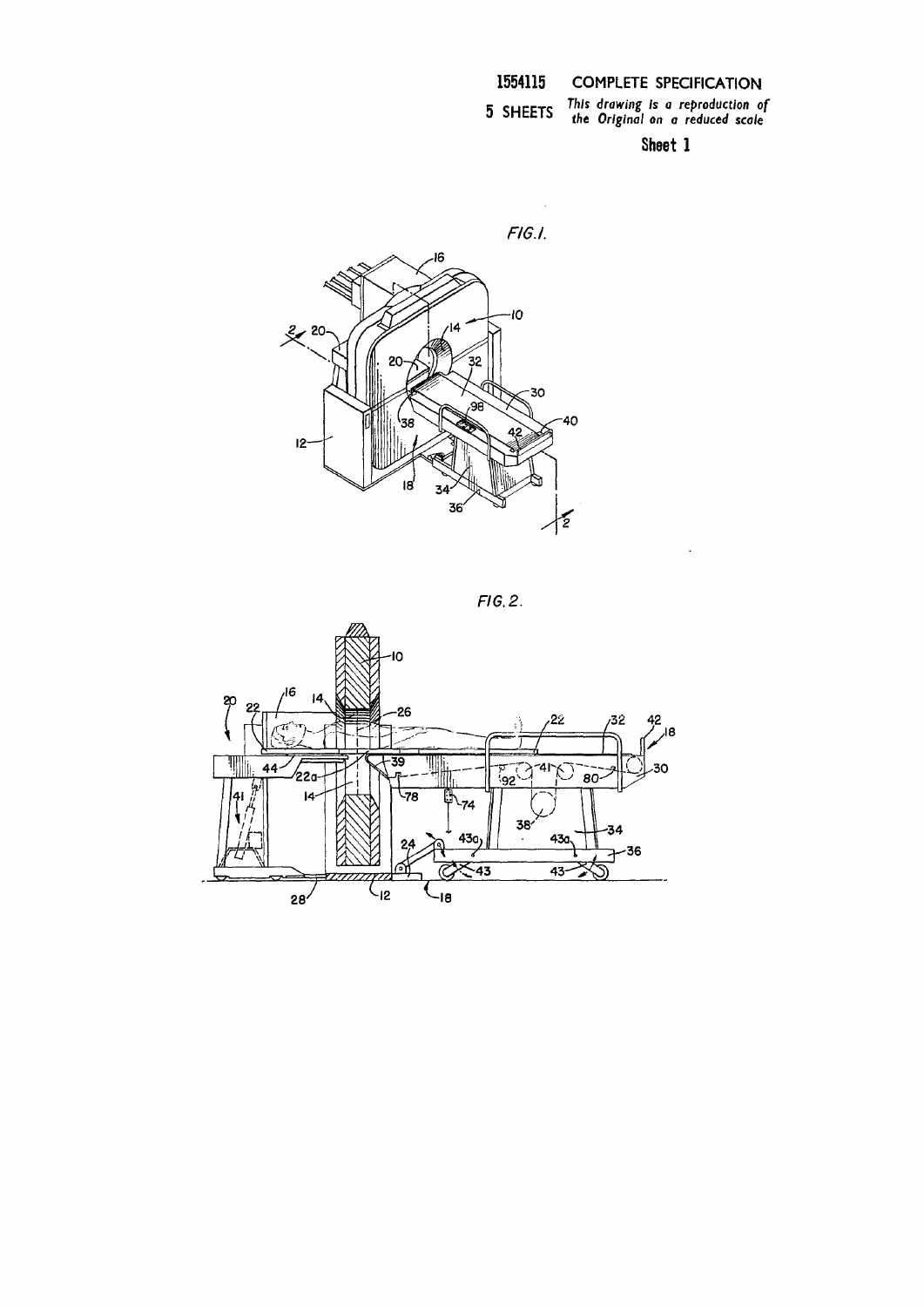*g Is a rep j I on a re c mrrTC This drawing Is a reproduction of 3 aMttl:> the Original on a reduced scale* 

 $\sim$ 

**Sheet 1** 





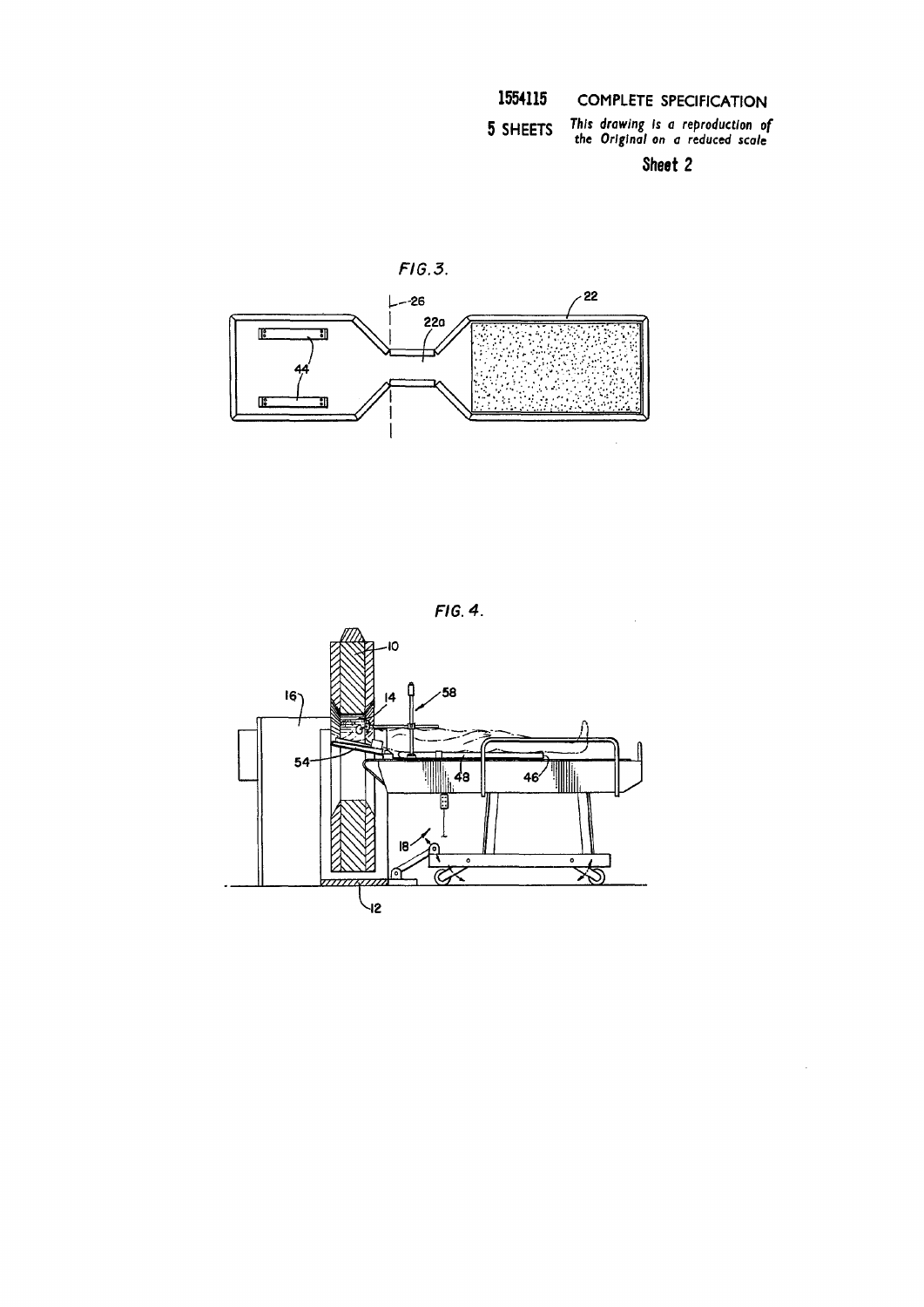5 SHEETS *Rawing Is a reproduction of the Original on a reduced scale* 

**Sheet 2** 

 $\bar{\mathcal{A}}$ 





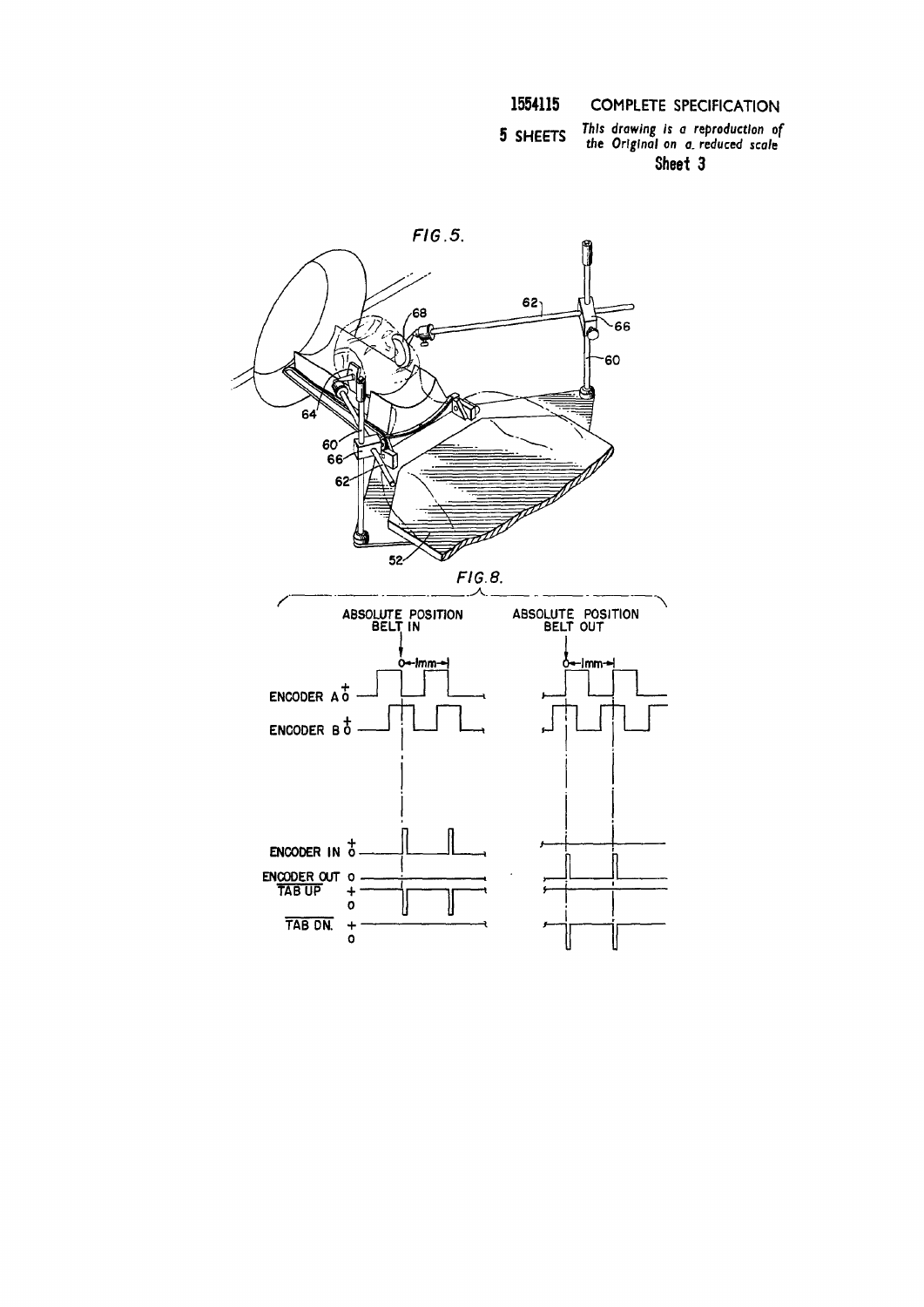This drawing is a reproduction of<br>the Original on a reduced scale 5 SHEETS Sheet 3

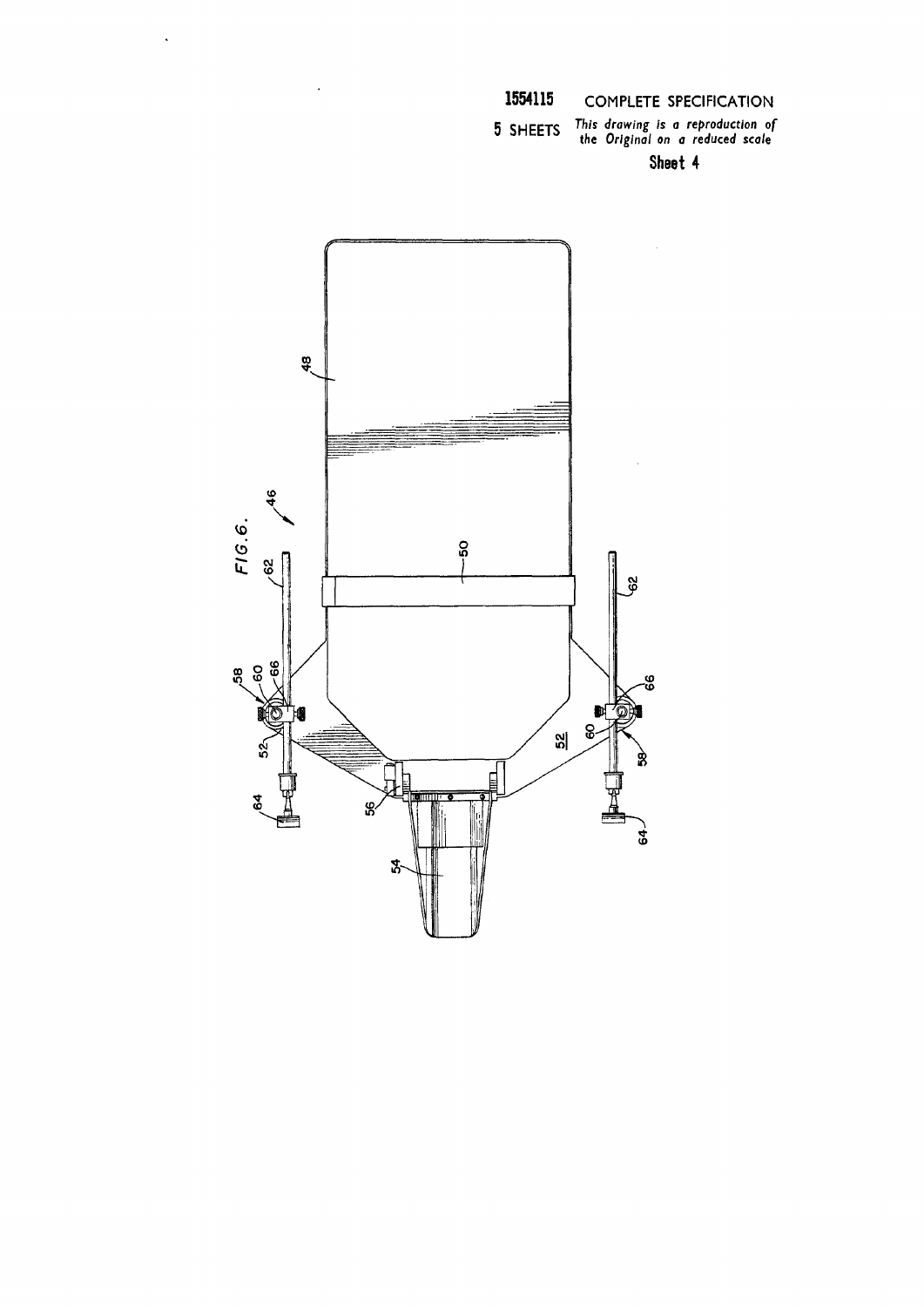**5** SHEETS  *drcwinS is 0 reproduction of the Original on a reduced scale* 

**Sheet 4**